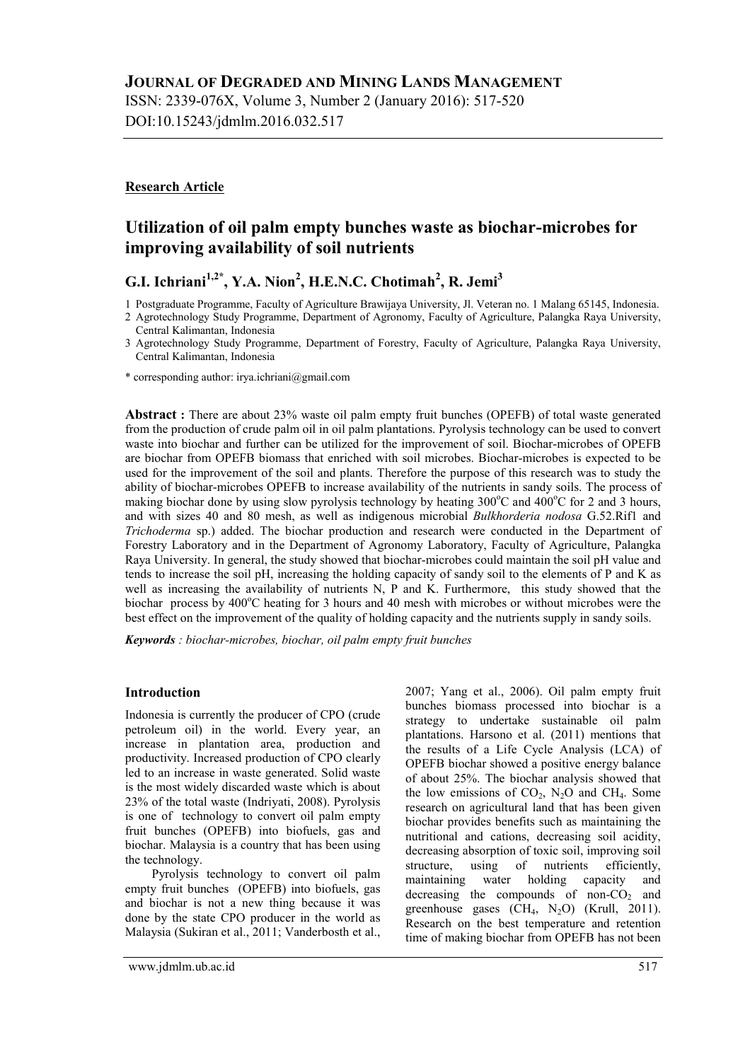DOI:10.15243/jdmlm.2016.032.517

# **Research Article**

# **Utilization of oil palm empty bunches waste as biochar-microbes for improving availability of soil nutrients**

**G.I. Ichriani1,2\* , Y.A. Nion<sup>2</sup> , H.E.N.C. Chotimah<sup>2</sup> , R. Jemi<sup>3</sup>**

1 Postgraduate Programme, Faculty of Agriculture Brawijaya University, Jl. Veteran no. 1 Malang 65145, Indonesia.

**Abstract :** There are about 23% waste oil palm empty fruit bunches (OPEFB) of total waste generated from the production of crude palm oil in oil palm plantations. Pyrolysis technology can be used to convert waste into biochar and further can be utilized for the improvement of soil. Biochar-microbes of OPEFB are biochar from OPEFB biomass that enriched with soil microbes. Biochar-microbes is expected to be used for the improvement of the soil and plants. Therefore the purpose of this research was to study the ability of biochar-microbes OPEFB to increase availability of the nutrients in sandy soils. The process of making biochar done by using slow pyrolysis technology by heating  $300^{\circ}$ C and  $400^{\circ}$ C for 2 and 3 hours, and with sizes 40 and 80 mesh, as well as indigenous microbial *Bulkhorderia nodosa* G.52.Rif1 and *Trichoderma* sp.) added. The biochar production and research were conducted in the Department of Forestry Laboratory and in the Department of Agronomy Laboratory, Faculty of Agriculture, Palangka Raya University. In general, the study showed that biochar-microbes could maintain the soil pH value and tends to increase the soil pH, increasing the holding capacity of sandy soil to the elements of P and K as well as increasing the availability of nutrients N, P and K. Furthermore, this study showed that the biochar process by  $400^{\circ}$ C heating for 3 hours and 40 mesh with microbes or without microbes were the best effect on the improvement of the quality of holding capacity and the nutrients supply in sandy soils.

*Keywords : biochar-microbes, biochar, oil palm empty fruit bunches*

## **Introduction**

Indonesia is currently the producer of CPO (crude petroleum oil) in the world. Every year, an increase in plantation area, production and productivity. Increased production of CPO clearly led to an increase in waste generated. Solid waste is the most widely discarded waste which is about 23% of the total waste (Indriyati, 2008). Pyrolysis is one of technology to convert oil palm empty fruit bunches (OPEFB) into biofuels, gas and biochar. Malaysia is a country that has been using the technology.

Pyrolysis technology to convert oil palm empty fruit bunches (OPEFB) into biofuels, gas and biochar is not a new thing because it was done by the state CPO producer in the world as Malaysia (Sukiran et al., 2011; Vanderbosth et al., 2007; Yang et al., 2006). Oil palm empty fruit bunches biomass processed into biochar is a strategy to undertake sustainable oil palm plantations. Harsono et al. (2011) mentions that the results of a Life Cycle Analysis (LCA) of OPEFB biochar showed a positive energy balance of about 25%. The biochar analysis showed that the low emissions of  $CO<sub>2</sub>$ , N<sub>2</sub>O and CH<sub>4</sub>. Some research on agricultural land that has been given biochar provides benefits such as maintaining the nutritional and cations, decreasing soil acidity, decreasing absorption of toxic soil, improving soil structure, using of nutrients efficiently, maintaining water holding capacity and decreasing the compounds of non- $CO<sub>2</sub>$  and greenhouse gases  $(CH_4, N_2O)$  (Krull, 2011). Research on the best temperature and retention time of making biochar from OPEFB has not been

<sup>2</sup> Agrotechnology Study Programme, Department of Agronomy, Faculty of Agriculture, Palangka Raya University, Central Kalimantan, Indonesia

<sup>3</sup> Agrotechnology Study Programme, Department of Forestry, Faculty of Agriculture, Palangka Raya University, Central Kalimantan, Indonesia

<sup>\*</sup> corresponding author: irya.ichriani@gmail.com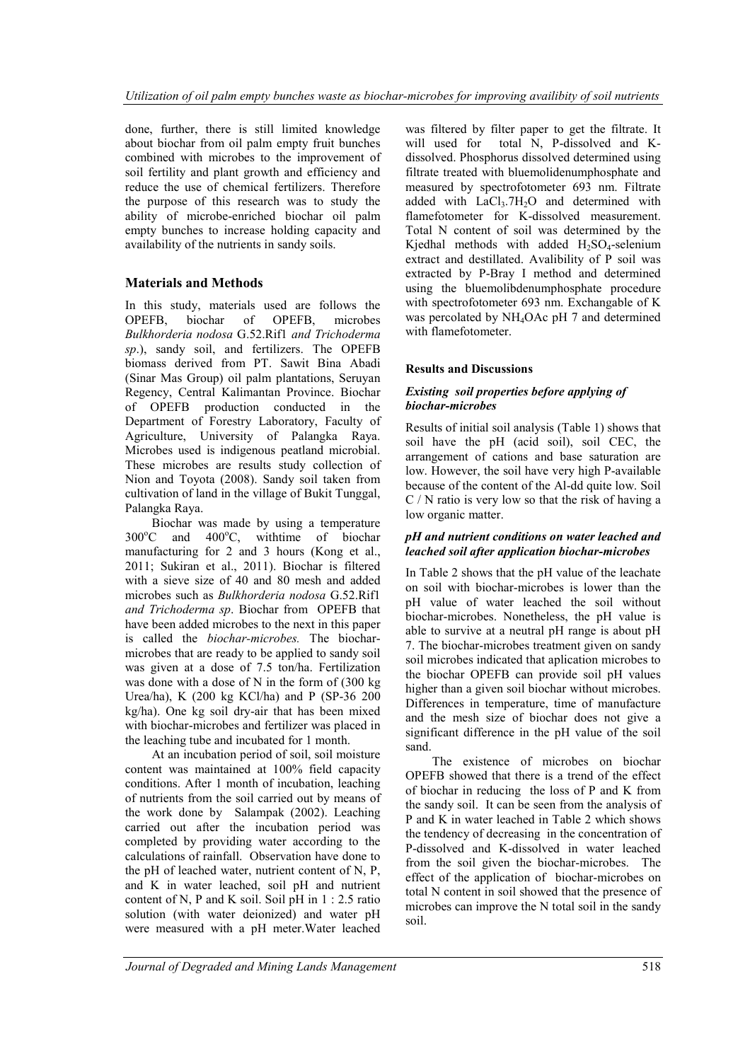done, further, there is still limited knowledge about biochar from oil palm empty fruit bunches combined with microbes to the improvement of soil fertility and plant growth and efficiency and reduce the use of chemical fertilizers. Therefore the purpose of this research was to study the ability of microbe-enriched biochar oil palm empty bunches to increase holding capacity and availability of the nutrients in sandy soils.

# **Materials and Methods**

In this study, materials used are follows the OPEFB, biochar of OPEFB, microbes *Bulkhorderia nodosa* G.52.Rif1 *and Trichoderma sp*.), sandy soil, and fertilizers. The OPEFB biomass derived from PT. Sawit Bina Abadi (Sinar Mas Group) oil palm plantations, Seruyan Regency, Central Kalimantan Province. Biochar of OPEFB production conducted in the Department of Forestry Laboratory, Faculty of Agriculture, University of Palangka Raya. Microbes used is indigenous peatland microbial. These microbes are results study collection of Nion and Toyota (2008). Sandy soil taken from cultivation of land in the village of Bukit Tunggal, Palangka Raya.

Biochar was made by using a temperature  $300^{\circ}$ C and  $400^{\circ}$ C, with time of biochar manufacturing for 2 and 3 hours (Kong et al., 2011; Sukiran et al., 2011). Biochar is filtered with a sieve size of 40 and 80 mesh and added microbes such as *Bulkhorderia nodosa* G.52.Rif1 *and Trichoderma sp*. Biochar from OPEFB that have been added microbes to the next in this paper is called the *biochar-microbes.* The biocharmicrobes that are ready to be applied to sandy soil was given at a dose of 7.5 ton/ha. Fertilization was done with a dose of N in the form of (300 kg Urea/ha), K (200 kg KCl/ha) and P (SP-36 200 kg/ha). One kg soil dry-air that has been mixed with biochar-microbes and fertilizer was placed in the leaching tube and incubated for 1 month.

At an incubation period of soil, soil moisture content was maintained at 100% field capacity conditions. After 1 month of incubation, leaching of nutrients from the soil carried out by means of the work done by Salampak (2002). Leaching carried out after the incubation period was completed by providing water according to the calculations of rainfall. Observation have done to the pH of leached water, nutrient content of N, P, and K in water leached, soil pH and nutrient content of N, P and K soil. Soil pH in 1 : 2.5 ratio solution (with water deionized) and water pH were measured with a pH meter.Water leached

was filtered by filter paper to get the filtrate. It will used for total N, P-dissolved and Kdissolved. Phosphorus dissolved determined using filtrate treated with bluemolidenumphosphate and measured by spectrofotometer 693 nm. Filtrate added with  $LaCl<sub>3</sub>.7H<sub>2</sub>O$  and determined with flamefotometer for K-dissolved measurement. Total N content of soil was determined by the Kjedhal methods with added  $H_2SO_4$ -selenium extract and destillated. Avalibility of P soil was extracted by P-Bray I method and determined using the bluemolibdenumphosphate procedure with spectrofotometer 693 nm. Exchangable of K was percolated by NH4OAc pH 7 and determined with flamefotometer.

# **Results and Discussions**

#### *Existing soil properties before applying of biochar-microbes*

Results of initial soil analysis (Table 1) shows that soil have the pH (acid soil), soil CEC, the arrangement of cations and base saturation are low. However, the soil have very high P-available because of the content of the Al-dd quite low. Soil C / N ratio is very low so that the risk of having a low organic matter.

## *pH and nutrient conditions on water leached and leached soil after application biochar-microbes*

In Table 2 shows that the pH value of the leachate on soil with biochar-microbes is lower than the pH value of water leached the soil without biochar-microbes. Nonetheless, the pH value is able to survive at a neutral pH range is about pH 7. The biochar-microbes treatment given on sandy soil microbes indicated that aplication microbes to the biochar OPEFB can provide soil pH values higher than a given soil biochar without microbes. Differences in temperature, time of manufacture and the mesh size of biochar does not give a significant difference in the pH value of the soil sand.

The existence of microbes on biochar OPEFB showed that there is a trend of the effect of biochar in reducing the loss of P and K from the sandy soil. It can be seen from the analysis of P and K in water leached in Table 2 which shows the tendency of decreasing in the concentration of P-dissolved and K-dissolved in water leached from the soil given the biochar-microbes. The effect of the application of biochar-microbes on total N content in soil showed that the presence of microbes can improve the N total soil in the sandy soil.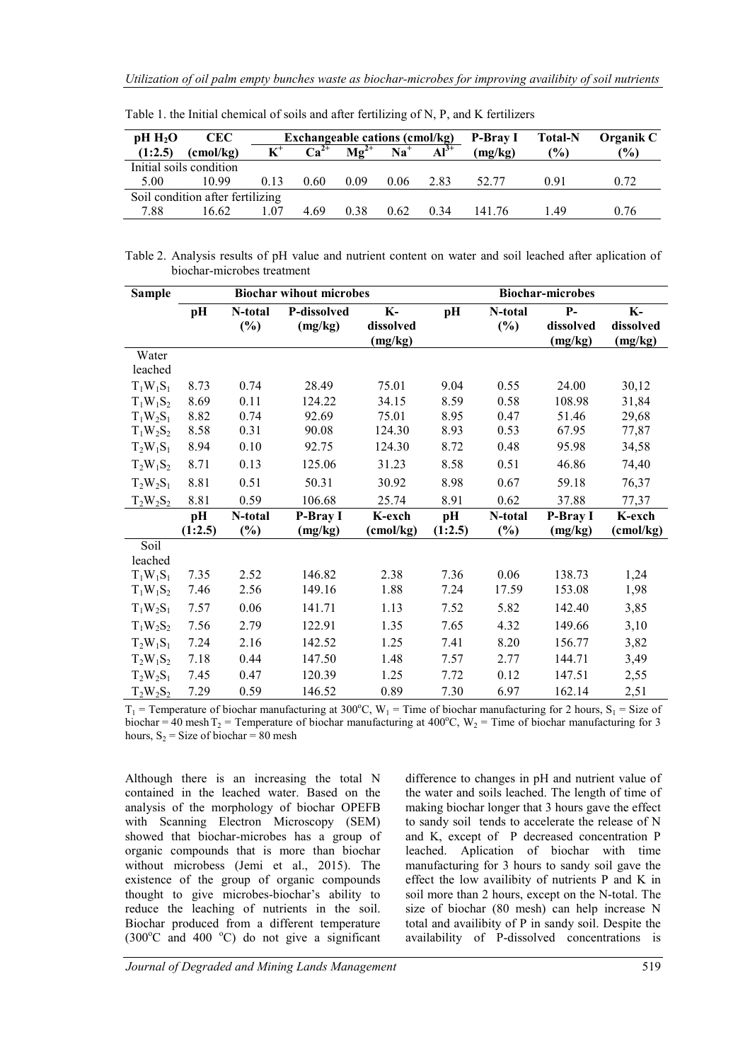| $pH H_2O$                        | <b>CEC</b>         |                | <b>Exchangeable cations (cmol/kg)</b> |                             |       |           |         | <b>Total-N</b> | Organik C      |
|----------------------------------|--------------------|----------------|---------------------------------------|-----------------------------|-------|-----------|---------|----------------|----------------|
| (1:2.5)                          | $\text{(cmol/kg)}$ | $\mathbf{K}^*$ | $\overline{Ca}^{2+}$                  | $\mathbf{M}\mathbf{g}^{2+}$ | $Na+$ | $Al^{3+}$ | (mg/kg) | $\frac{10}{6}$ | $\frac{10}{6}$ |
| Initial soils condition          |                    |                |                                       |                             |       |           |         |                |                |
| 5.00                             | 10.99              | 0.13           | 0.60                                  | 0.09                        | 0.06  | 2.83      | 52.77   | 0.91           | 0.72           |
| Soil condition after fertilizing |                    |                |                                       |                             |       |           |         |                |                |
| 7.88                             | 16.62              | 107            | 4.69                                  | 0.38                        | 0.62  | 0.34      | 141 76  | 149            | 0.76           |

Table 1. the Initial chemical of soils and after fertilizing of N, P, and K fertilizers

Table 2. Analysis results of pH value and nutrient content on water and soil leached after aplication of biochar-microbes treatment

| <b>Sample</b> |         |                            | <b>Biochar wihout microbes</b> |           | <b>Biochar-microbes</b> |               |           |           |  |
|---------------|---------|----------------------------|--------------------------------|-----------|-------------------------|---------------|-----------|-----------|--|
|               | pH      | N-total                    | P-dissolved                    | $K-$      | pH                      | N-total       | $P-$      | $K-$      |  |
|               |         | (%)                        | (mg/kg)                        | dissolved |                         | (%)           | dissolved | dissolved |  |
|               |         |                            |                                | (mg/kg)   |                         |               | (mg/kg)   | (mg/kg)   |  |
| Water         |         |                            |                                |           |                         |               |           |           |  |
| leached       |         |                            |                                |           |                         |               |           |           |  |
| $T_1W_1S_1$   | 8.73    | 0.74                       | 28.49                          | 75.01     | 9.04                    | 0.55          | 24.00     | 30,12     |  |
| $T_1W_1S_2$   | 8.69    | 0.11                       | 124.22                         | 34.15     | 8.59                    | 0.58          | 108.98    | 31,84     |  |
| $T_1W_2S_1$   | 8.82    | 0.74                       | 92.69                          | 75.01     | 8.95                    | 0.47          | 51.46     | 29,68     |  |
| $T_1W_2S_2$   | 8.58    | 0.31                       | 90.08                          | 124.30    | 8.93                    | 0.53          | 67.95     | 77,87     |  |
| $T_2W_1S_1$   | 8.94    | 0.10                       | 92.75                          | 124.30    | 8.72                    | 0.48          | 95.98     | 34,58     |  |
| $T_2W_1S_2$   | 8.71    | 0.13                       | 125.06                         | 31.23     | 8.58                    | 0.51          | 46.86     | 74,40     |  |
| $T_2W_2S_1$   | 8.81    | 0.51                       | 50.31                          | 30.92     | 8.98                    | 0.67          | 59.18     | 76,37     |  |
| $T_2W_2S_2$   | 8.81    | 0.59                       | 106.68                         | 25.74     | 8.91                    | 0.62          | 37.88     | 77,37     |  |
|               | pH      | N-total                    | P-Bray I                       | K-exch    | pH                      | N-total       | P-Bray I  | K-exch    |  |
|               | (1:2.5) | $\left(\frac{0}{0}\right)$ | (mg/kg)                        | (cmol/kg) | (1:2.5)                 | $\frac{6}{6}$ | (mg/kg)   | (cmol/kg) |  |
| Soil          |         |                            |                                |           |                         |               |           |           |  |
| leached       |         |                            |                                |           |                         |               |           |           |  |
| $T_1W_1S_1$   | 7.35    | 2.52                       | 146.82                         | 2.38      | 7.36                    | 0.06          | 138.73    | 1,24      |  |
| $T_1W_1S_2$   | 7.46    | 2.56                       | 149.16                         | 1.88      | 7.24                    | 17.59         | 153.08    | 1,98      |  |
| $T_1W_2S_1$   | 7.57    | 0.06                       | 141.71                         | 1.13      | 7.52                    | 5.82          | 142.40    | 3,85      |  |
| $T_1W_2S_2$   | 7.56    | 2.79                       | 122.91                         | 1.35      | 7.65                    | 4.32          | 149.66    | 3,10      |  |
| $T_2W_1S_1$   | 7.24    | 2.16                       | 142.52                         | 1.25      | 7.41                    | 8.20          | 156.77    | 3,82      |  |
| $T_2W_1S_2$   | 7.18    | 0.44                       | 147.50                         | 1.48      | 7.57                    | 2.77          | 144.71    | 3,49      |  |
| $T_2W_2S_1$   | 7.45    | 0.47                       | 120.39                         | 1.25      | 7.72                    | 0.12          | 147.51    | 2,55      |  |
| $T_2W_2S_2$   | 7.29    | 0.59                       | 146.52                         | 0.89      | 7.30                    | 6.97          | 162.14    | 2,51      |  |

 $T_1$  = Temperature of biochar manufacturing at 300°C, W<sub>1</sub> = Time of biochar manufacturing for 2 hours, S<sub>1</sub> = Size of biochar = 40 mesh T<sub>2</sub> = Temperature of biochar manufacturing at 400°C, W<sub>2</sub> = Time of biochar manufacturing for 3 hours,  $S_2$  = Size of biochar = 80 mesh

Although there is an increasing the total N contained in the leached water. Based on the analysis of the morphology of biochar OPEFB with Scanning Electron Microscopy (SEM) showed that biochar-microbes has a group of organic compounds that is more than biochar without microbess (Jemi et al., 2015). The existence of the group of organic compounds thought to give microbes-biochar's ability to reduce the leaching of nutrients in the soil. Biochar produced from a different temperature  $(300^{\circ}$ C and 400  $^{\circ}$ C) do not give a significant difference to changes in pH and nutrient value of the water and soils leached. The length of time of making biochar longer that 3 hours gave the effect to sandy soil tends to accelerate the release of N and K, except of P decreased concentration P leached. Aplication of biochar with time manufacturing for 3 hours to sandy soil gave the effect the low availibity of nutrients P and K in soil more than 2 hours, except on the N-total. The size of biochar (80 mesh) can help increase N total and availibity of P in sandy soil. Despite the availability of P-dissolved concentrations is